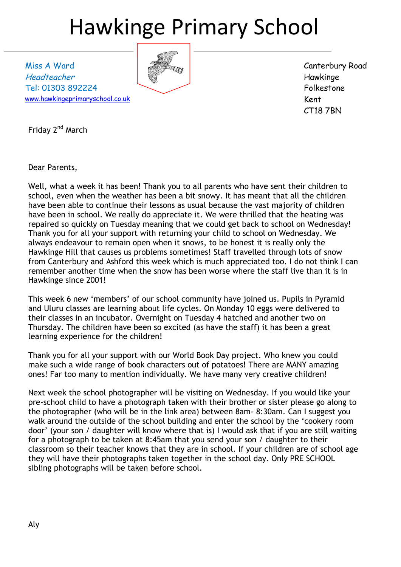## Hawkinge Primary School

Miss A Ward Headteacher Tel: 01303 892224 [www.hawkingeprimaryschool.co.uk](http://www.hawkingeprimaryschool.co.uk/)



Canterbury Road Hawkinge Folkestone Kent CT18 7BN

Friday 2<sup>nd</sup> March

Dear Parents,

Well, what a week it has been! Thank you to all parents who have sent their children to school, even when the weather has been a bit snowy. It has meant that all the children have been able to continue their lessons as usual because the vast majority of children have been in school. We really do appreciate it. We were thrilled that the heating was repaired so quickly on Tuesday meaning that we could get back to school on Wednesday! Thank you for all your support with returning your child to school on Wednesday. We always endeavour to remain open when it snows, to be honest it is really only the Hawkinge Hill that causes us problems sometimes! Staff travelled through lots of snow from Canterbury and Ashford this week which is much appreciated too. I do not think I can remember another time when the snow has been worse where the staff live than it is in Hawkinge since 2001!

This week 6 new 'members' of our school community have joined us. Pupils in Pyramid and Uluru classes are learning about life cycles. On Monday 10 eggs were delivered to their classes in an incubator. Overnight on Tuesday 4 hatched and another two on Thursday. The children have been so excited (as have the staff) it has been a great learning experience for the children!

Thank you for all your support with our World Book Day project. Who knew you could make such a wide range of book characters out of potatoes! There are MANY amazing ones! Far too many to mention individually. We have many very creative children!

Next week the school photographer will be visiting on Wednesday. If you would like your pre-school child to have a photograph taken with their brother or sister please go along to the photographer (who will be in the link area) between 8am- 8:30am. Can I suggest you walk around the outside of the school building and enter the school by the 'cookery room door' (your son / daughter will know where that is) I would ask that if you are still waiting for a photograph to be taken at 8:45am that you send your son / daughter to their classroom so their teacher knows that they are in school. If your children are of school age they will have their photographs taken together in the school day. Only PRE SCHOOL sibling photographs will be taken before school.